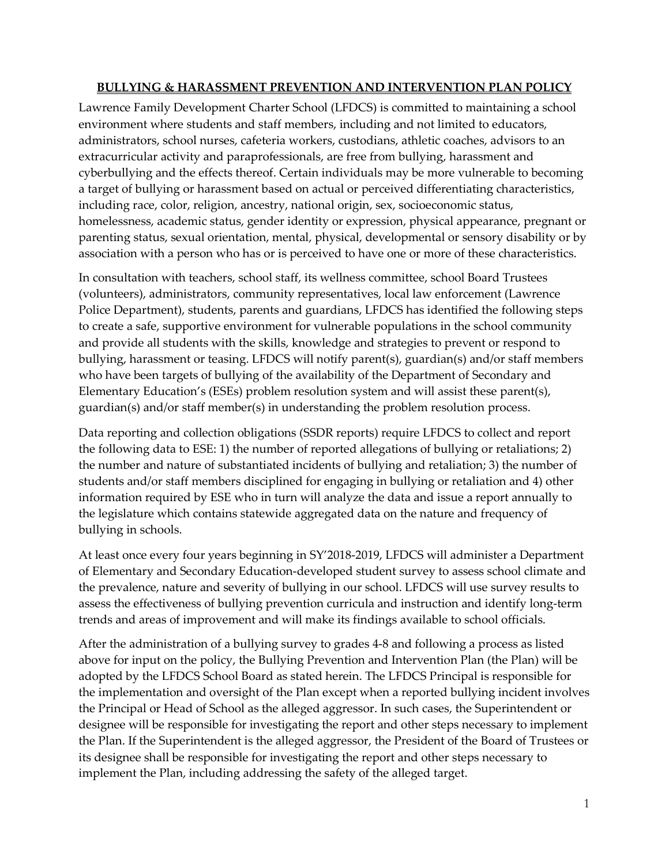#### **BULLYING & HARASSMENT PREVENTION AND INTERVENTION PLAN POLICY**

Lawrence Family Development Charter School (LFDCS) is committed to maintaining a school environment where students and staff members, including and not limited to educators, administrators, school nurses, cafeteria workers, custodians, athletic coaches, advisors to an extracurricular activity and paraprofessionals, are free from bullying, harassment and cyberbullying and the effects thereof. Certain individuals may be more vulnerable to becoming a target of bullying or harassment based on actual or perceived differentiating characteristics, including race, color, religion, ancestry, national origin, sex, socioeconomic status, homelessness, academic status, gender identity or expression, physical appearance, pregnant or parenting status, sexual orientation, mental, physical, developmental or sensory disability or by association with a person who has or is perceived to have one or more of these characteristics.

In consultation with teachers, school staff, its wellness committee, school Board Trustees (volunteers), administrators, community representatives, local law enforcement (Lawrence Police Department), students, parents and guardians, LFDCS has identified the following steps to create a safe, supportive environment for vulnerable populations in the school community and provide all students with the skills, knowledge and strategies to prevent or respond to bullying, harassment or teasing. LFDCS will notify parent(s), guardian(s) and/or staff members who have been targets of bullying of the availability of the Department of Secondary and Elementary Education's (ESEs) problem resolution system and will assist these parent(s), guardian(s) and/or staff member(s) in understanding the problem resolution process.

Data reporting and collection obligations (SSDR reports) require LFDCS to collect and report the following data to ESE: 1) the number of reported allegations of bullying or retaliations; 2) the number and nature of substantiated incidents of bullying and retaliation; 3) the number of students and/or staff members disciplined for engaging in bullying or retaliation and 4) other information required by ESE who in turn will analyze the data and issue a report annually to the legislature which contains statewide aggregated data on the nature and frequency of bullying in schools.

At least once every four years beginning in SY'2018-2019, LFDCS will administer a Department of Elementary and Secondary Education-developed student survey to assess school climate and the prevalence, nature and severity of bullying in our school. LFDCS will use survey results to assess the effectiveness of bullying prevention curricula and instruction and identify long-term trends and areas of improvement and will make its findings available to school officials.

After the administration of a bullying survey to grades 4-8 and following a process as listed above for input on the policy, the Bullying Prevention and Intervention Plan (the Plan) will be adopted by the LFDCS School Board as stated herein. The LFDCS Principal is responsible for the implementation and oversight of the Plan except when a reported bullying incident involves the Principal or Head of School as the alleged aggressor. In such cases, the Superintendent or designee will be responsible for investigating the report and other steps necessary to implement the Plan. If the Superintendent is the alleged aggressor, the President of the Board of Trustees or its designee shall be responsible for investigating the report and other steps necessary to implement the Plan, including addressing the safety of the alleged target.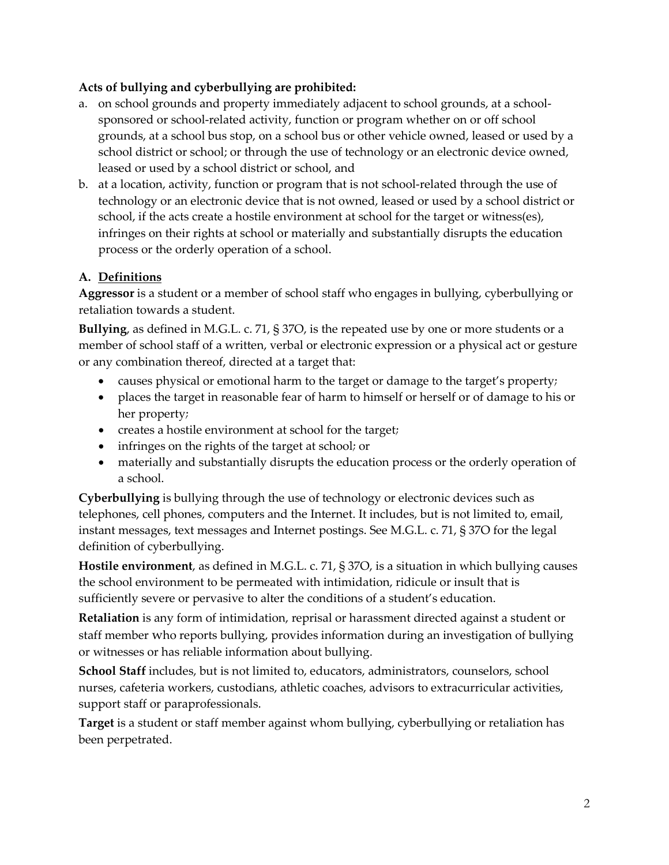# **Acts of bullying and cyberbullying are prohibited:**

- a. on school grounds and property immediately adjacent to school grounds, at a schoolsponsored or school-related activity, function or program whether on or off school grounds, at a school bus stop, on a school bus or other vehicle owned, leased or used by a school district or school; or through the use of technology or an electronic device owned, leased or used by a school district or school, and
- b. at a location, activity, function or program that is not school-related through the use of technology or an electronic device that is not owned, leased or used by a school district or school, if the acts create a hostile environment at school for the target or witness(es), infringes on their rights at school or materially and substantially disrupts the education process or the orderly operation of a school.

# **A. Definitions**

**Aggressor** is a student or a member of school staff who engages in bullying, cyberbullying or retaliation towards a student.

**Bullying**, as defined in M.G.L. c. 71, § 37O, is the repeated use by one or more students or a member of school staff of a written, verbal or electronic expression or a physical act or gesture or any combination thereof, directed at a target that:

- causes physical or emotional harm to the target or damage to the target's property;
- places the target in reasonable fear of harm to himself or herself or of damage to his or her property;
- creates a hostile environment at school for the target;
- infringes on the rights of the target at school; or
- materially and substantially disrupts the education process or the orderly operation of a school.

**Cyberbullying** is bullying through the use of technology or electronic devices such as telephones, cell phones, computers and the Internet. It includes, but is not limited to, email, instant messages, text messages and Internet postings. See M.G.L. c. 71, § 37O for the legal definition of cyberbullying.

**Hostile environment**, as defined in M.G.L. c. 71, § 37O, is a situation in which bullying causes the school environment to be permeated with intimidation, ridicule or insult that is sufficiently severe or pervasive to alter the conditions of a student's education.

**Retaliation** is any form of intimidation, reprisal or harassment directed against a student or staff member who reports bullying, provides information during an investigation of bullying or witnesses or has reliable information about bullying.

School Staff includes, but is not limited to, educators, administrators, counselors, school nurses, cafeteria workers, custodians, athletic coaches, advisors to extracurricular activities, support staff or paraprofessionals.

**Target** is a student or staff member against whom bullying, cyberbullying or retaliation has been perpetrated.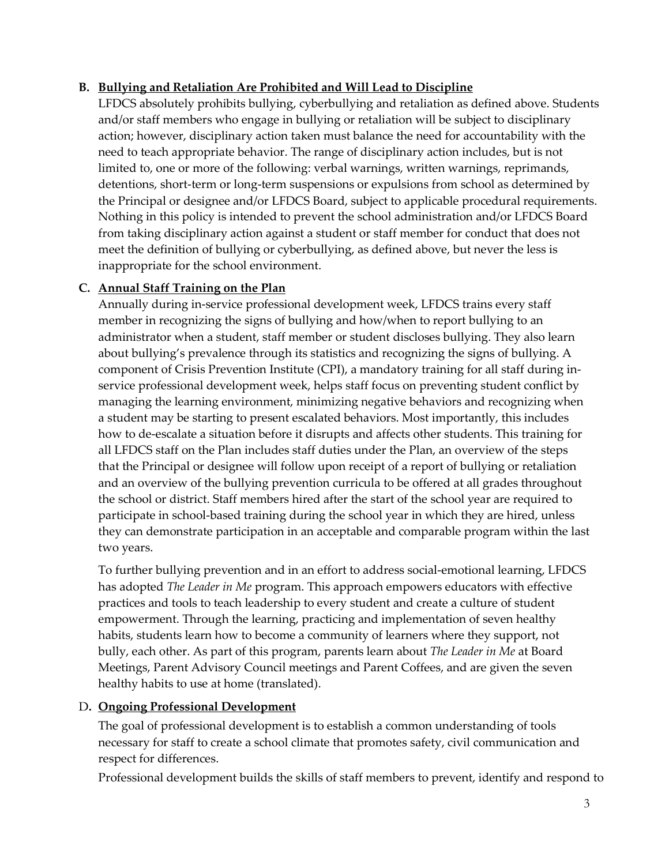## **B. Bullying and Retaliation Are Prohibited and Will Lead to Discipline**

LFDCS absolutely prohibits bullying, cyberbullying and retaliation as defined above. Students and/or staff members who engage in bullying or retaliation will be subject to disciplinary action; however, disciplinary action taken must balance the need for accountability with the need to teach appropriate behavior. The range of disciplinary action includes, but is not limited to, one or more of the following: verbal warnings, written warnings, reprimands, detentions, short-term or long-term suspensions or expulsions from school as determined by the Principal or designee and/or LFDCS Board, subject to applicable procedural requirements. Nothing in this policy is intended to prevent the school administration and/or LFDCS Board from taking disciplinary action against a student or staff member for conduct that does not meet the definition of bullying or cyberbullying, as defined above, but never the less is inappropriate for the school environment.

# **C. Annual Staff Training on the Plan**

Annually during in-service professional development week, LFDCS trains every staff member in recognizing the signs of bullying and how/when to report bullying to an administrator when a student, staff member or student discloses bullying. They also learn about bullying's prevalence through its statistics and recognizing the signs of bullying. A component of Crisis Prevention Institute (CPI), a mandatory training for all staff during inservice professional development week, helps staff focus on preventing student conflict by managing the learning environment, minimizing negative behaviors and recognizing when a student may be starting to present escalated behaviors. Most importantly, this includes how to de-escalate a situation before it disrupts and affects other students. This training for all LFDCS staff on the Plan includes staff duties under the Plan, an overview of the steps that the Principal or designee will follow upon receipt of a report of bullying or retaliation and an overview of the bullying prevention curricula to be offered at all grades throughout the school or district. Staff members hired after the start of the school year are required to participate in school-based training during the school year in which they are hired, unless they can demonstrate participation in an acceptable and comparable program within the last two years.

To further bullying prevention and in an effort to address social-emotional learning, LFDCS has adopted *The Leader in Me* program. This approach empowers educators with effective practices and tools to teach leadership to every student and create a culture of student empowerment. Through the learning, practicing and implementation of seven healthy habits, students learn how to become a community of learners where they support, not bully, each other. As part of this program, parents learn about *The Leader in Me* at Board Meetings, Parent Advisory Council meetings and Parent Coffees, and are given the seven healthy habits to use at home (translated).

## D**. Ongoing Professional Development**

The goal of professional development is to establish a common understanding of tools necessary for staff to create a school climate that promotes safety, civil communication and respect for differences.

Professional development builds the skills of staff members to prevent, identify and respond to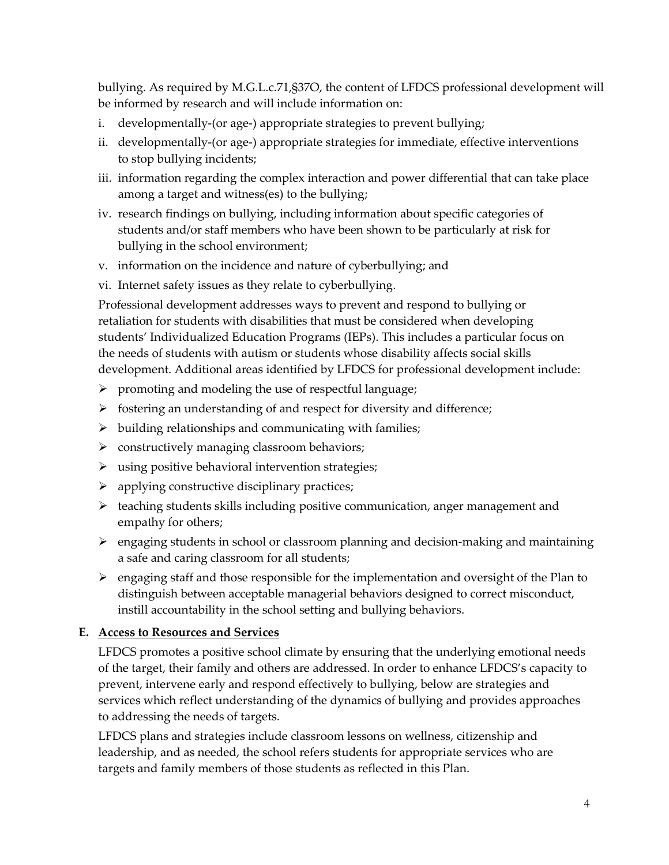bullying. As required by M.G.L.c.71,§37O, the content of LFDCS professional development will be informed by research and will include information on:

- i. developmentally-(or age-) appropriate strategies to prevent bullying;
- ii. developmentally-(or age-) appropriate strategies for immediate, effective interventions to stop bullying incidents;
- iii. information regarding the complex interaction and power differential that can take place among a target and witness(es) to the bullying;
- iv. research findings on bullying, including information about specific categories of students and/or staff members who have been shown to be particularly at risk for bullying in the school environment;
- v. information on the incidence and nature of cyberbullying; and
- vi. Internet safety issues as they relate to cyberbullying.

Professional development addresses ways to prevent and respond to bullying or retaliation for students with disabilities that must be considered when developing students' Individualized Education Programs (IEPs). This includes a particular focus on the needs of students with autism or students whose disability affects social skills development. Additional areas identified by LFDCS for professional development include:

- $\triangleright$  promoting and modeling the use of respectful language;
- $\triangleright$  fostering an understanding of and respect for diversity and difference;
- $\triangleright$  building relationships and communicating with families;
- $\triangleright$  constructively managing classroom behaviors;
- $\triangleright$  using positive behavioral intervention strategies;
- $\triangleright$  applying constructive disciplinary practices;
- $\triangleright$  teaching students skills including positive communication, anger management and empathy for others;
- $\triangleright$  engaging students in school or classroom planning and decision-making and maintaining a safe and caring classroom for all students;
- $\triangleright$  engaging staff and those responsible for the implementation and oversight of the Plan to distinguish between acceptable managerial behaviors designed to correct misconduct, instill accountability in the school setting and bullying behaviors.

## **E. Access to Resources and Services**

LFDCS promotes a positive school climate by ensuring that the underlying emotional needs of the target, their family and others are addressed. In order to enhance LFDCS's capacity to prevent, intervene early and respond effectively to bullying, below are strategies and services which reflect understanding of the dynamics of bullying and provides approaches to addressing the needs of targets.

LFDCS plans and strategies include classroom lessons on wellness, citizenship and leadership, and as needed, the school refers students for appropriate services who are targets and family members of those students as reflected in this Plan.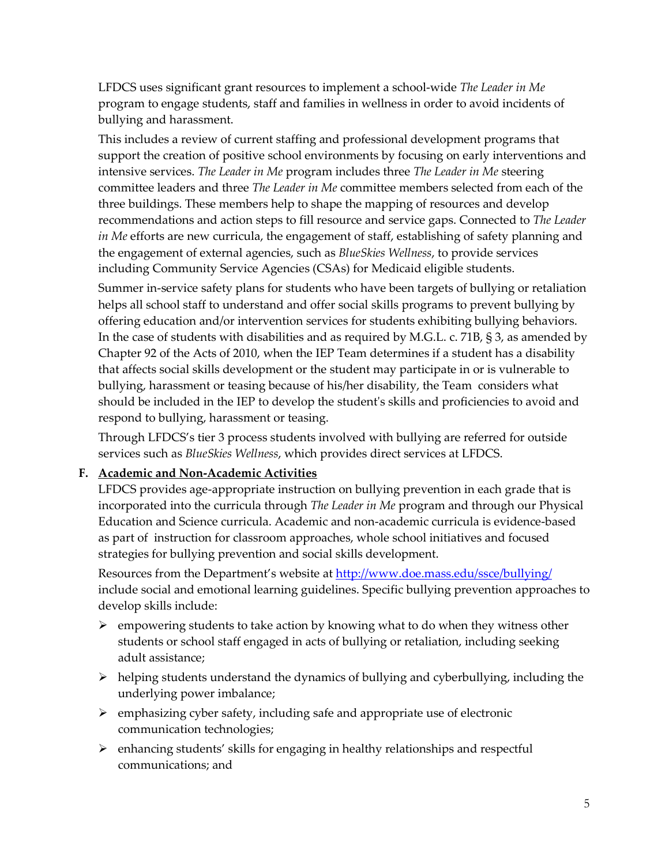LFDCS uses significant grant resources to implement a school-wide *The Leader in Me* program to engage students, staff and families in wellness in order to avoid incidents of bullying and harassment.

This includes a review of current staffing and professional development programs that support the creation of positive school environments by focusing on early interventions and intensive services. *The Leader in Me* program includes three *The Leader in Me* steering committee leaders and three *The Leader in Me* committee members selected from each of the three buildings. These members help to shape the mapping of resources and develop recommendations and action steps to fill resource and service gaps. Connected to *The Leader in Me* efforts are new curricula, the engagement of staff, establishing of safety planning and the engagement of external agencies, such as *BlueSkies Wellness*, to provide services including Community Service Agencies (CSAs) for Medicaid eligible students.

Summer in-service safety plans for students who have been targets of bullying or retaliation helps all school staff to understand and offer social skills programs to prevent bullying by offering education and/or intervention services for students exhibiting bullying behaviors. In the case of students with disabilities and as required by M.G.L. c. 71B, § 3, as amended by Chapter 92 of the Acts of 2010, when the IEP Team determines if a student has a disability that affects social skills development or the student may participate in or is vulnerable to bullying, harassment or teasing because of his/her disability, the Team considers what should be included in the IEP to develop the student's skills and proficiencies to avoid and respond to bullying, harassment or teasing.

Through LFDCS's tier 3 process students involved with bullying are referred for outside services such as *BlueSkies Wellness*, which provides direct services at LFDCS.

## **F. Academic and Non-Academic Activities**

LFDCS provides age-appropriate instruction on bullying prevention in each grade that is incorporated into the curricula through *The Leader in Me* program and through our Physical Education and Science curricula. Academic and non-academic curricula is evidence-based as part of instruction for classroom approaches, whole school initiatives and focused strategies for bullying prevention and social skills development.

Resources from the Department's website at http://www.doe.mass.edu/ssce/bullying/ include [social and emotional learning guidelines.](http://www.doe.mass.edu/bullying/%239) Specific bullying prevention approaches to develop skills include:

- $\triangleright$  empowering students to take action by knowing what to do when they witness other students or school staff engaged in acts of bullying or retaliation, including seeking adult assistance;
- $\triangleright$  helping students understand the dynamics of bullying and cyberbullying, including the underlying power imbalance;
- $\triangleright$  emphasizing cyber safety, including safe and appropriate use of electronic communication technologies;
- $\triangleright$  enhancing students' skills for engaging in healthy relationships and respectful communications; and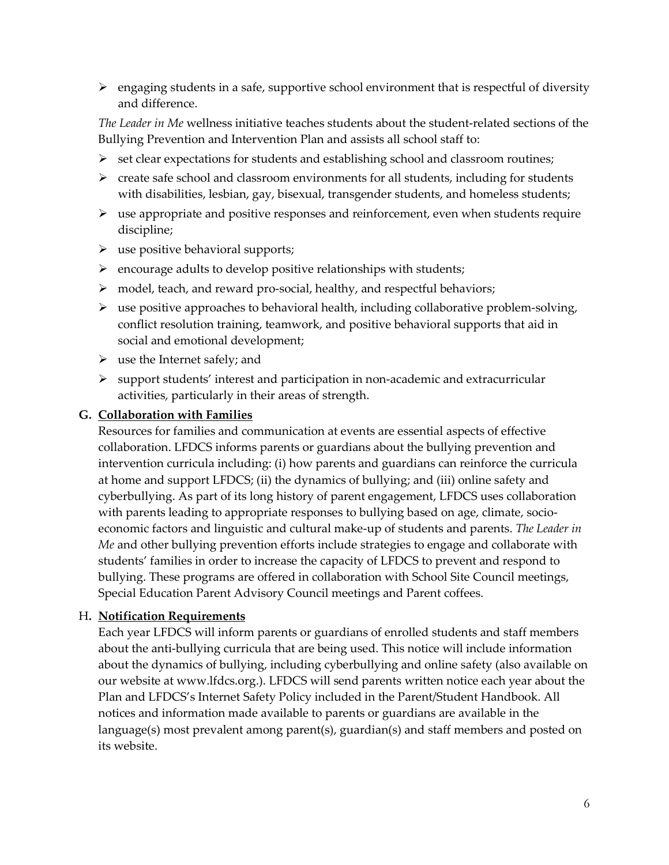$\triangleright$  engaging students in a safe, supportive school environment that is respectful of diversity and difference.

*The Leader in Me* wellness initiative teaches students about the student-related sections of the Bullying Prevention and Intervention Plan and assists all school staff to:

- $\triangleright$  set clear expectations for students and establishing school and classroom routines;
- $\triangleright$  create safe school and classroom environments for all students, including for students with disabilities, lesbian, gay, bisexual, transgender students, and homeless students;
- $\triangleright$  use appropriate and positive responses and reinforcement, even when students require discipline;
- $\triangleright$  use positive behavioral supports;
- $\triangleright$  encourage adults to develop positive relationships with students;
- model, teach, and reward pro-social, healthy, and respectful behaviors;
- $\triangleright$  use positive approaches to behavioral health, including collaborative problem-solving, conflict resolution training, teamwork, and positive behavioral supports that aid in social and emotional development;
- $\triangleright$  use the Internet safely; and
- $\triangleright$  support students' interest and participation in non-academic and extracurricular activities, particularly in their areas of strength.

#### **G. Collaboration with Families**

Resources for families and communication at events are essential aspects of effective collaboration. LFDCS informs parents or guardians about the bullying prevention and intervention curricula including: (i) how parents and guardians can reinforce the curricula at home and support LFDCS; (ii) the dynamics of bullying; and (iii) online safety and cyberbullying. As part of its long history of parent engagement, LFDCS uses collaboration with parents leading to appropriate responses to bullying based on age, climate, socioeconomic factors and linguistic and cultural make-up of students and parents. *The Leader in Me* and other bullying prevention efforts include strategies to engage and collaborate with students' families in order to increase the capacity of LFDCS to prevent and respond to bullying. These programs are offered in collaboration with School Site Council meetings, Special Education Parent Advisory Council meetings and Parent coffees.

#### H**. Notification Requirements**

Each year LFDCS will inform parents or guardians of enrolled students and staff members about the anti-bullying curricula that are being used. This notice will include information about the dynamics of bullying, including cyberbullying and online safety (also available on our website at www.lfdcs.org.). LFDCS will send parents written notice each year about the Plan and LFDCS's Internet Safety Policy included in the Parent/Student Handbook. All notices and information made available to parents or guardians are available in the language(s) most prevalent among parent(s), guardian(s) and staff members and posted on its website.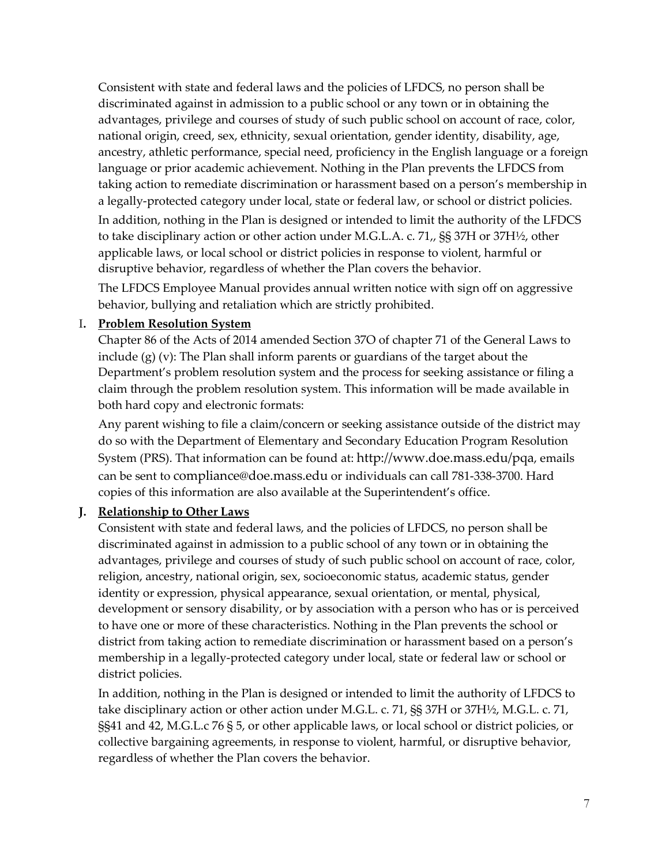Consistent with state and federal laws and the policies of LFDCS, no person shall be discriminated against in admission to a public school or any town or in obtaining the advantages, privilege and courses of study of such public school on account of race, color, national origin, creed, sex, ethnicity, sexual orientation, gender identity, disability, age, ancestry, athletic performance, special need, proficiency in the English language or a foreign language or prior academic achievement. Nothing in the Plan prevents the LFDCS from taking action to remediate discrimination or harassment based on a person's membership in a legally-protected category under local, state or federal law, or school or district policies.

In addition, nothing in the Plan is designed or intended to limit the authority of the LFDCS to take disciplinary action or other action under M.G.L.A. c. 71,, §§ 37H or 37H½, other applicable laws, or local school or district policies in response to violent, harmful or disruptive behavior, regardless of whether the Plan covers the behavior.

The LFDCS Employee Manual provides annual written notice with sign off on aggressive behavior, bullying and retaliation which are strictly prohibited.

#### I**. Problem Resolution System**

Chapter 86 of the Acts of 2014 amended Section 37O of chapter 71 of the General Laws to include (g) (v): The Plan shall inform parents or guardians of the target about the Department's problem resolution system and the process for seeking assistance or filing a claim through the problem resolution system. This information will be made available in both hard copy and electronic formats:

Any parent wishing to file a claim/concern or seeking assistance outside of the district may do so with the Department of Elementary and Secondary Education Program Resolution System (PRS). That information can be found at: [http://www.doe.mass.edu/pqa,](http://www.doe.mass.edu/pqa) emails can be sent t[o compliance@doe.mass.edu](mailto:compliance@doe.mass.edu) or individuals can call 781-338-3700. Hard copies of this information are also available at the Superintendent's office.

## **J. Relationship to Other Laws**

Consistent with state and federal laws, and the policies of LFDCS, no person shall be discriminated against in admission to a public school of any town or in obtaining the advantages, privilege and courses of study of such public school on account of race, color, religion, ancestry, national origin, sex, socioeconomic status, academic status, gender identity or expression, physical appearance, sexual orientation, or mental, physical, development or sensory disability, or by association with a person who has or is perceived to have one or more of these characteristics. Nothing in the Plan prevents the school or district from taking action to remediate discrimination or harassment based on a person's membership in a legally-protected category under local, state or federal law or school or district policies.

In addition, nothing in the Plan is designed or intended to limit the authority of LFDCS to take disciplinary action or other action under M.G.L. c. 71, §§ 37H or 37H½, M.G.L. c. 71, §§41 and 42, M.G.L.c 76 § 5, or other applicable laws, or local school or district policies, or collective bargaining agreements, in response to violent, harmful, or disruptive behavior, regardless of whether the Plan covers the behavior.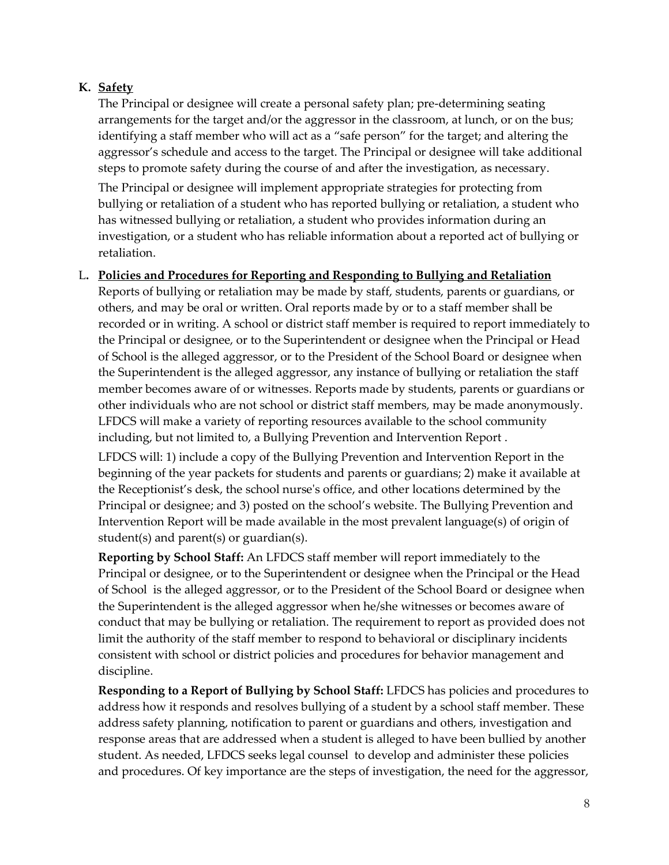# **K. Safety**

The Principal or designee will create a personal safety plan; pre-determining seating arrangements for the target and/or the aggressor in the classroom, at lunch, or on the bus; identifying a staff member who will act as a "safe person" for the target; and altering the aggressor's schedule and access to the target. The Principal or designee will take additional steps to promote safety during the course of and after the investigation, as necessary.

The Principal or designee will implement appropriate strategies for protecting from bullying or retaliation of a student who has reported bullying or retaliation, a student who has witnessed bullying or retaliation, a student who provides information during an investigation, or a student who has reliable information about a reported act of bullying or retaliation.

#### L**. Policies and Procedures for Reporting and Responding to Bullying and Retaliation**

Reports of bullying or retaliation may be made by staff, students, parents or guardians, or others, and may be oral or written. Oral reports made by or to a staff member shall be recorded or in writing. A school or district staff member is required to report immediately to the Principal or designee, or to the Superintendent or designee when the Principal or Head of School is the alleged aggressor, or to the President of the School Board or designee when the Superintendent is the alleged aggressor, any instance of bullying or retaliation the staff member becomes aware of or witnesses. Reports made by students, parents or guardians or other individuals who are not school or district staff members, may be made anonymously. LFDCS will make a variety of reporting resources available to the school community including, but not limited to, a Bullying Prevention and Intervention Report .

LFDCS will: 1) include a copy of the Bullying Prevention and Intervention Report in the beginning of the year packets for students and parents or guardians; 2) make it available at the Receptionist's desk, the school nurse's office, and other locations determined by the Principal or designee; and 3) posted on the school's website. The Bullying Prevention and Intervention Report will be made available in the most prevalent language(s) of origin of student(s) and parent(s) or guardian(s).

**Reporting by School Staff:** An LFDCS staff member will report immediately to the Principal or designee, or to the Superintendent or designee when the Principal or the Head of School is the alleged aggressor, or to the President of the School Board or designee when the Superintendent is the alleged aggressor when he/she witnesses or becomes aware of conduct that may be bullying or retaliation. The requirement to report as provided does not limit the authority of the staff member to respond to behavioral or disciplinary incidents consistent with school or district policies and procedures for behavior management and discipline.

**Responding to a Report of Bullying by School Staff:** LFDCS has policies and procedures to address how it responds and resolves bullying of a student by a school staff member. These address safety planning, notification to parent or guardians and others, investigation and response areas that are addressed when a student is alleged to have been bullied by another student. As needed, LFDCS seeks legal counsel to develop and administer these policies and procedures. Of key importance are the steps of investigation, the need for the aggressor,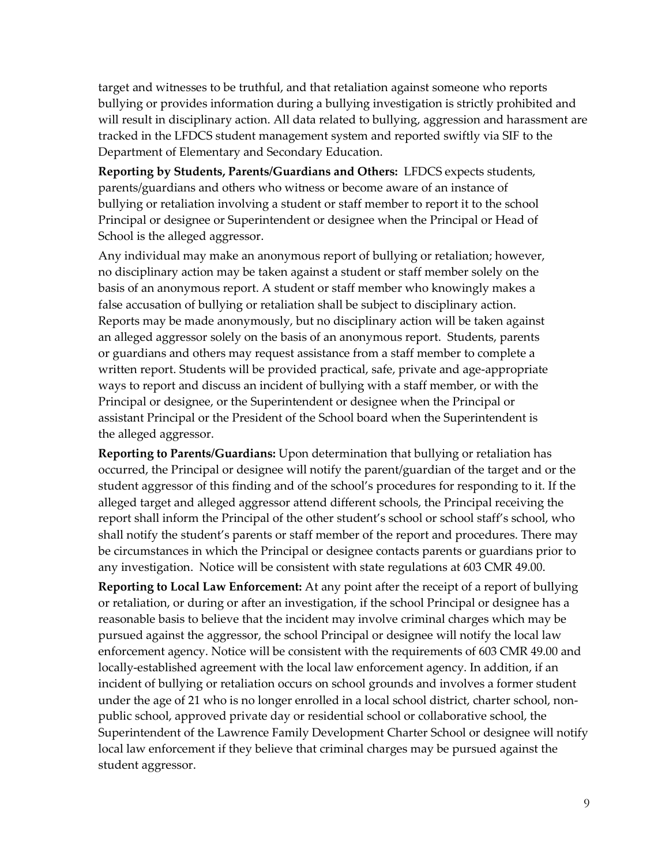target and witnesses to be truthful, and that retaliation against someone who reports bullying or provides information during a bullying investigation is strictly prohibited and will result in disciplinary action. All data related to bullying, aggression and harassment are tracked in the LFDCS student management system and reported swiftly via SIF to the Department of Elementary and Secondary Education.

**Reporting by Students, Parents/Guardians and Others:** LFDCS expects students, parents/guardians and others who witness or become aware of an instance of bullying or retaliation involving a student or staff member to report it to the school Principal or designee or Superintendent or designee when the Principal or Head of School is the alleged aggressor.

Any individual may make an anonymous report of bullying or retaliation; however, no disciplinary action may be taken against a student or staff member solely on the basis of an anonymous report. A student or staff member who knowingly makes a false accusation of bullying or retaliation shall be subject to disciplinary action. Reports may be made anonymously, but no disciplinary action will be taken against an alleged aggressor solely on the basis of an anonymous report. Students, parents or guardians and others may request assistance from a staff member to complete a written report. Students will be provided practical, safe, private and age-appropriate ways to report and discuss an incident of bullying with a staff member, or with the Principal or designee, or the Superintendent or designee when the Principal or assistant Principal or the President of the School board when the Superintendent is the alleged aggressor.

**Reporting to Parents/Guardians:** Upon determination that bullying or retaliation has occurred, the Principal or designee will notify the parent/guardian of the target and or the student aggressor of this finding and of the school's procedures for responding to it. If the alleged target and alleged aggressor attend different schools, the Principal receiving the report shall inform the Principal of the other student's school or school staff's school, who shall notify the student's parents or staff member of the report and procedures. There may be circumstances in which the Principal or designee contacts parents or guardians prior to any investigation. Notice will be consistent with state regulations at 603 CMR 49.00.

**Reporting to Local Law Enforcement:** At any point after the receipt of a report of bullying or retaliation, or during or after an investigation, if the school Principal or designee has a reasonable basis to believe that the incident may involve criminal charges which may be pursued against the aggressor, the school Principal or designee will notify the local law enforcement agency. Notice will be consistent with the requirements of 603 CMR 49.00 and locally-established agreement with the local law enforcement agency. In addition, if an incident of bullying or retaliation occurs on school grounds and involves a former student under the age of 21 who is no longer enrolled in a local school district, charter school, nonpublic school, approved private day or residential school or collaborative school, the Superintendent of the Lawrence Family Development Charter School or designee will notify local law enforcement if they believe that criminal charges may be pursued against the student aggressor.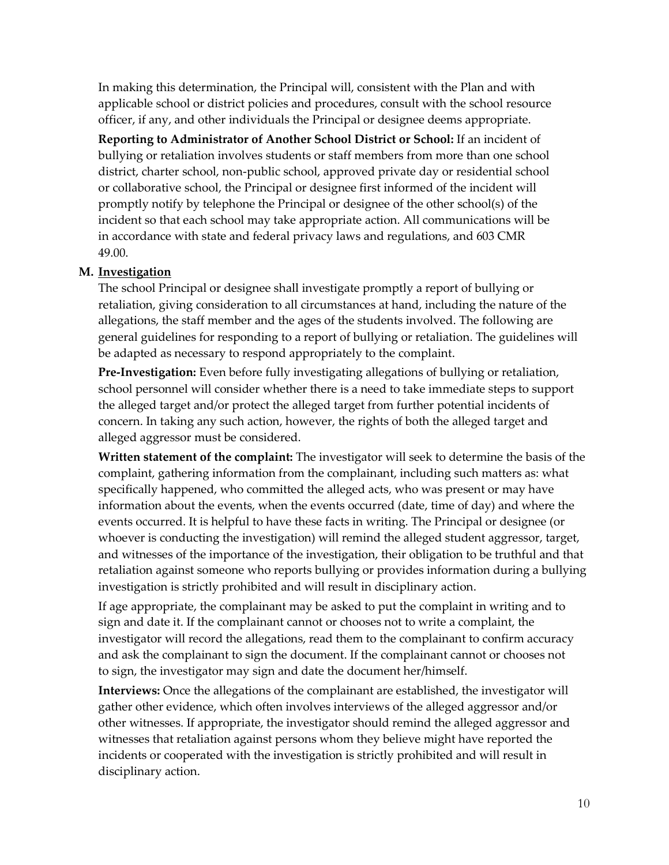In making this determination, the Principal will, consistent with the Plan and with applicable school or district policies and procedures, consult with the school resource officer, if any, and other individuals the Principal or designee deems appropriate.

**Reporting to Administrator of Another School District or School:** If an incident of bullying or retaliation involves students or staff members from more than one school district, charter school, non-public school, approved private day or residential school or collaborative school, the Principal or designee first informed of the incident will promptly notify by telephone the Principal or designee of the other school(s) of the incident so that each school may take appropriate action. All communications will be in accordance with state and federal privacy laws and regulations, and 603 CMR 49.00.

#### **M. Investigation**

The school Principal or designee shall investigate promptly a report of bullying or retaliation, giving consideration to all circumstances at hand, including the nature of the allegations, the staff member and the ages of the students involved. The following are general guidelines for responding to a report of bullying or retaliation. The guidelines will be adapted as necessary to respond appropriately to the complaint.

**Pre-Investigation:** Even before fully investigating allegations of bullying or retaliation, school personnel will consider whether there is a need to take immediate steps to support the alleged target and/or protect the alleged target from further potential incidents of concern. In taking any such action, however, the rights of both the alleged target and alleged aggressor must be considered.

**Written statement of the complaint:** The investigator will seek to determine the basis of the complaint, gathering information from the complainant, including such matters as: what specifically happened, who committed the alleged acts, who was present or may have information about the events, when the events occurred (date, time of day) and where the events occurred. It is helpful to have these facts in writing. The Principal or designee (or whoever is conducting the investigation) will remind the alleged student aggressor, target, and witnesses of the importance of the investigation, their obligation to be truthful and that retaliation against someone who reports bullying or provides information during a bullying investigation is strictly prohibited and will result in disciplinary action.

If age appropriate, the complainant may be asked to put the complaint in writing and to sign and date it. If the complainant cannot or chooses not to write a complaint, the investigator will record the allegations, read them to the complainant to confirm accuracy and ask the complainant to sign the document. If the complainant cannot or chooses not to sign, the investigator may sign and date the document her/himself.

**Interviews:** Once the allegations of the complainant are established, the investigator will gather other evidence, which often involves interviews of the alleged aggressor and/or other witnesses. If appropriate, the investigator should remind the alleged aggressor and witnesses that retaliation against persons whom they believe might have reported the incidents or cooperated with the investigation is strictly prohibited and will result in disciplinary action.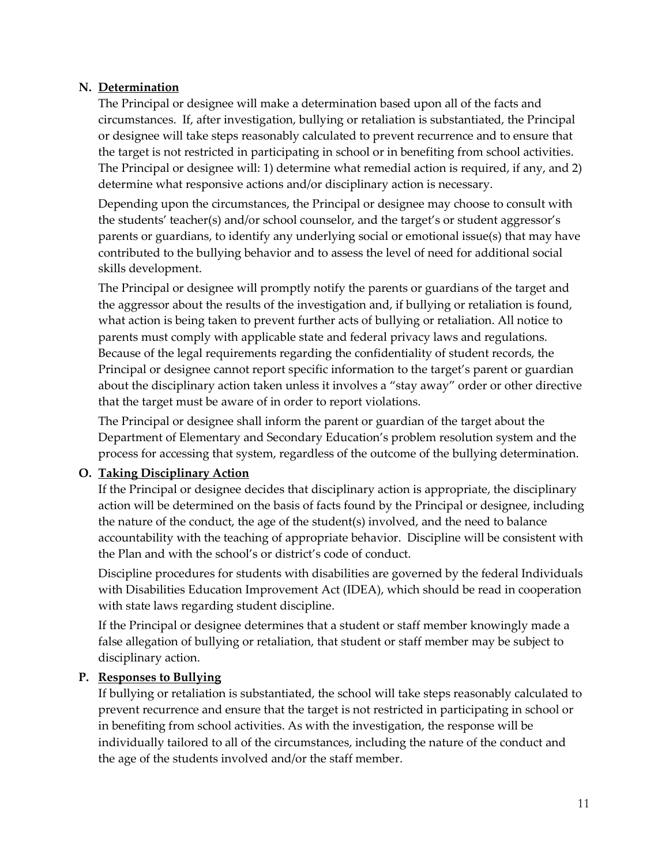## **N. Determination**

The Principal or designee will make a determination based upon all of the facts and circumstances. If, after investigation, bullying or retaliation is substantiated, the Principal or designee will take steps reasonably calculated to prevent recurrence and to ensure that the target is not restricted in participating in school or in benefiting from school activities. The Principal or designee will: 1) determine what remedial action is required, if any, and 2) determine what responsive actions and/or disciplinary action is necessary.

Depending upon the circumstances, the Principal or designee may choose to consult with the students' teacher(s) and/or school counselor, and the target's or student aggressor's parents or guardians, to identify any underlying social or emotional issue(s) that may have contributed to the bullying behavior and to assess the level of need for additional social skills development.

The Principal or designee will promptly notify the parents or guardians of the target and the aggressor about the results of the investigation and, if bullying or retaliation is found, what action is being taken to prevent further acts of bullying or retaliation. All notice to parents must comply with applicable state and federal privacy laws and regulations. Because of the legal requirements regarding the confidentiality of student records, the Principal or designee cannot report specific information to the target's parent or guardian about the disciplinary action taken unless it involves a "stay away" order or other directive that the target must be aware of in order to report violations.

The Principal or designee shall inform the parent or guardian of the target about the Department of Elementary and Secondary Education's problem resolution system and the process for accessing that system, regardless of the outcome of the bullying determination.

# **O. Taking Disciplinary Action**

If the Principal or designee decides that disciplinary action is appropriate, the disciplinary action will be determined on the basis of facts found by the Principal or designee, including the nature of the conduct, the age of the student(s) involved, and the need to balance accountability with the teaching of appropriate behavior. Discipline will be consistent with the Plan and with the school's or district's code of conduct.

Discipline procedures for students with disabilities are governed by the federal Individuals with Disabilities Education Improvement Act (IDEA), which should be read in cooperation with state laws regarding student discipline.

If the Principal or designee determines that a student or staff member knowingly made a false allegation of bullying or retaliation, that student or staff member may be subject to disciplinary action.

## **P. Responses to Bullying**

If bullying or retaliation is substantiated, the school will take steps reasonably calculated to prevent recurrence and ensure that the target is not restricted in participating in school or in benefiting from school activities. As with the investigation, the response will be individually tailored to all of the circumstances, including the nature of the conduct and the age of the students involved and/or the staff member.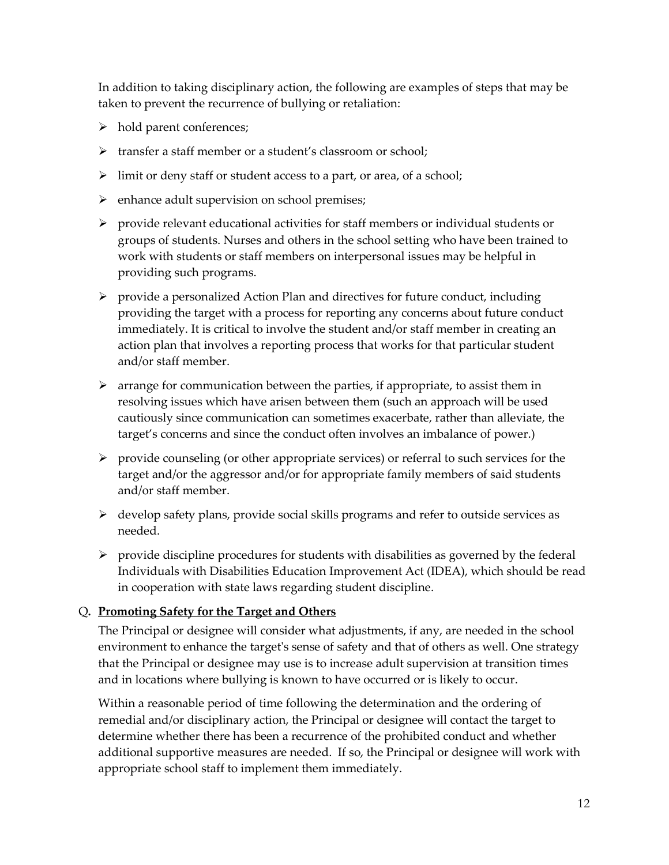In addition to taking disciplinary action, the following are examples of steps that may be taken to prevent the recurrence of bullying or retaliation:

- hold parent conferences;
- transfer a staff member or a student's classroom or school;
- $\triangleright$  limit or deny staff or student access to a part, or area, of a school;
- $\triangleright$  enhance adult supervision on school premises;
- $\triangleright$  provide relevant educational activities for staff members or individual students or groups of students. Nurses and others in the school setting who have been trained to work with students or staff members on interpersonal issues may be helpful in providing such programs.
- $\triangleright$  provide a personalized Action Plan and directives for future conduct, including providing the target with a process for reporting any concerns about future conduct immediately. It is critical to involve the student and/or staff member in creating an action plan that involves a reporting process that works for that particular student and/or staff member.
- $\triangleright$  arrange for communication between the parties, if appropriate, to assist them in resolving issues which have arisen between them (such an approach will be used cautiously since communication can sometimes exacerbate, rather than alleviate, the target's concerns and since the conduct often involves an imbalance of power.)
- $\triangleright$  provide counseling (or other appropriate services) or referral to such services for the target and/or the aggressor and/or for appropriate family members of said students and/or staff member.
- $\triangleright$  develop safety plans, provide social skills programs and refer to outside services as needed.
- $\triangleright$  provide discipline procedures for students with disabilities as governed by the federal Individuals with Disabilities Education Improvement Act (IDEA), which should be read in cooperation with state laws regarding student discipline.

#### Q**. Promoting Safety for the Target and Others**

The Principal or designee will consider what adjustments, if any, are needed in the school environment to enhance the target's sense of safety and that of others as well. One strategy that the Principal or designee may use is to increase adult supervision at transition times and in locations where bullying is known to have occurred or is likely to occur.

Within a reasonable period of time following the determination and the ordering of remedial and/or disciplinary action, the Principal or designee will contact the target to determine whether there has been a recurrence of the prohibited conduct and whether additional supportive measures are needed. If so, the Principal or designee will work with appropriate school staff to implement them immediately.